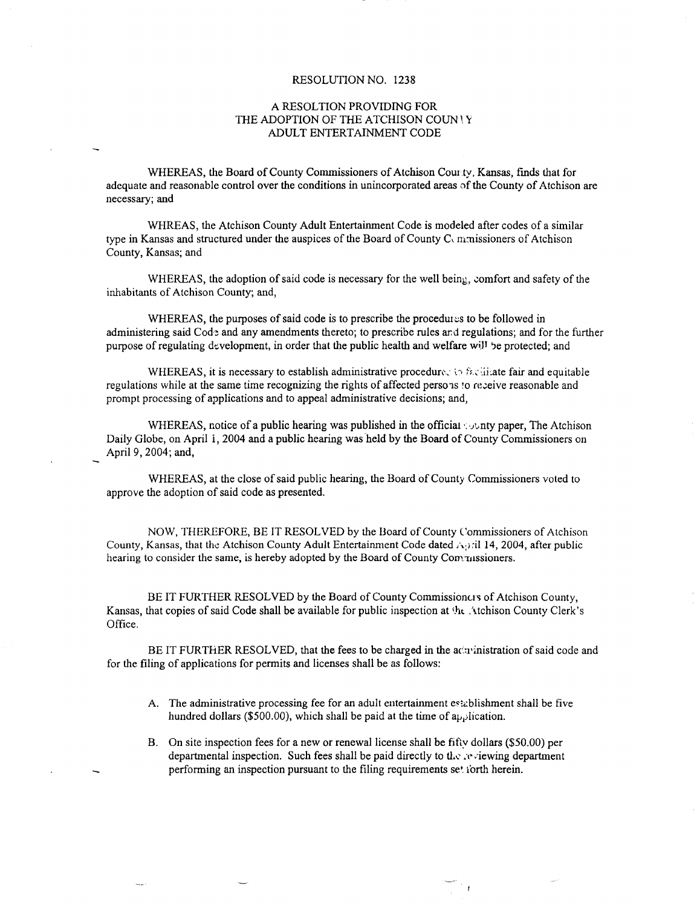#### RESOLUTION NO. 1238

## A RESOLTION PROVIDING FOR THE ADOPTION OF THE ATCHISON COUN ! Y ADULT ENTERTAINMENT CODE

WHEREAS, the Board of County Commissioners of Atchison Cour ty, Kansas, finds that for adequate and reasonable control over the conditions in unincorporated areas of the County of Atchison are necessary; and

WHREAS, the Atchison County Adult Entertainment Code is modeled after codes of a similar type in Kansas and structured under the auspices of the Board of County Commissioners of Atchison County, Kansas; and

WHEREAS, the adoption of said code is necessary for the well being, comfort and safety of the inhabitants of Atchison County; and,

WHEREAS, the purposes of said code is to prescribe the procedures to be followed in administering said Code and any amendments thereto; to prescribe rules and regulations; and for the further purpose of regulating development, in order that the public health and welfare will 13e protected; and

WHEREAS, it is necessary to establish administrative procedure, is faciliate fair and equitable regulations while at the same time recognizing the rights of affected persons to receive reasonable and prompt processing of applications and to appeal administrative decisions; and,

WHEREAS, notice of a public hearing was published in the official  $\omega$ nty paper, The Atchison Daily Globe, on April i, 2004 and a public hearing was held by the Board of County Commissioners on April 9, 2004; and,

WHEREAS, at the close of said public hearing, the Board of County Commissioners voted to approve the adoption of said code as presented.

NOW, THEREFORE, BE IT RESOLVED by the Board of County Commissioners of Atchison County, Kansas, that the Atchison County Adult Entertainment Code dated  $\triangle$ 9 after public hearing to consider the same, is hereby adopted by the Board of County Commissioners.

BE IT FURTHER RESOLVED by the Board of County Commissioners of Atchison County, Kansas, that copies of said Code shall be available for public inspection at ht..Atchison County Clerk's Office.

BE IT FURTHER RESOLVED, that the fees to be charged in the actrinistration of said code and for the filing of applications for permits and licenses shall be as follows:

- A. The administrative processing fee for an adult entertainment establishment shall be five hundred dollars (\$500.00), which shall be paid at the time of application.
- B. On site inspection fees for a new or renewal license shall be fifty dollars (\$50.00) per departmental inspection. Such fees shall be paid directly to the reviewing department performing an inspection pursuant to the filing requirements set forth herein.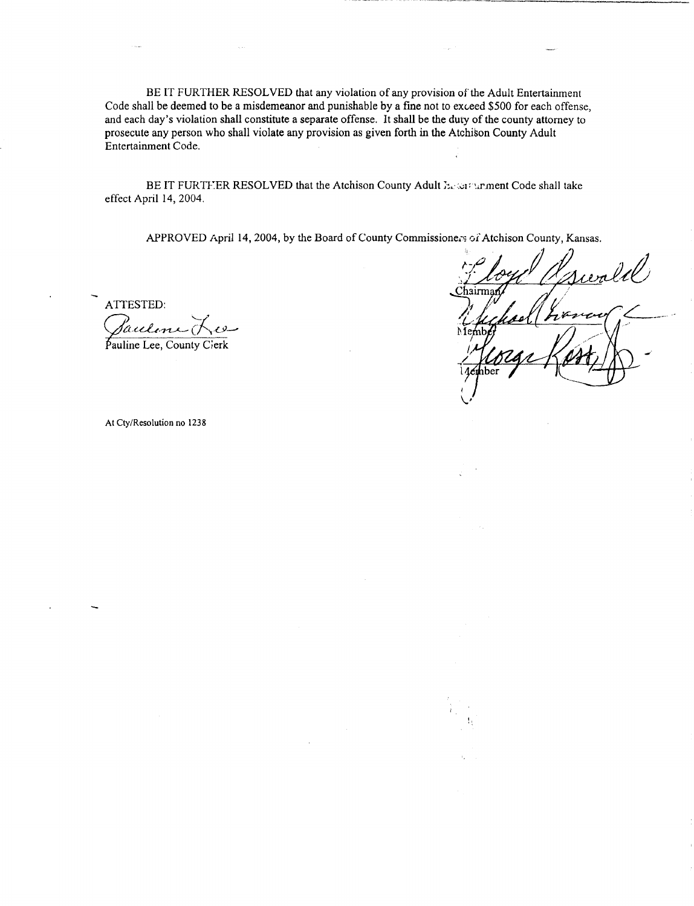BE IT FURTHER RESOLVED that any violation of any provision of the Adult Entertainment Code shall be deemed to be a misdemeanor and punishable by a fine not to exceed \$500 for each offense, and each day's violation shall constitute a separate offense. It shall be the duty of the county attorney to prosecute any person who shall violate any provision as given forth in the Atchison County Adult Entertainment Code.

BE IT FURTEER RESOLVED that the Atchison County Adult Experiment Code shall take effect April 14, 2004.

APPROVED April 14, 2004, by the Board of County Commissioners of Atchison County, Kansas.

ATTESTED:

Sauline F Pauline Lee, County Cierk

wald airma رم ıber

At Cty/Resolution no 1238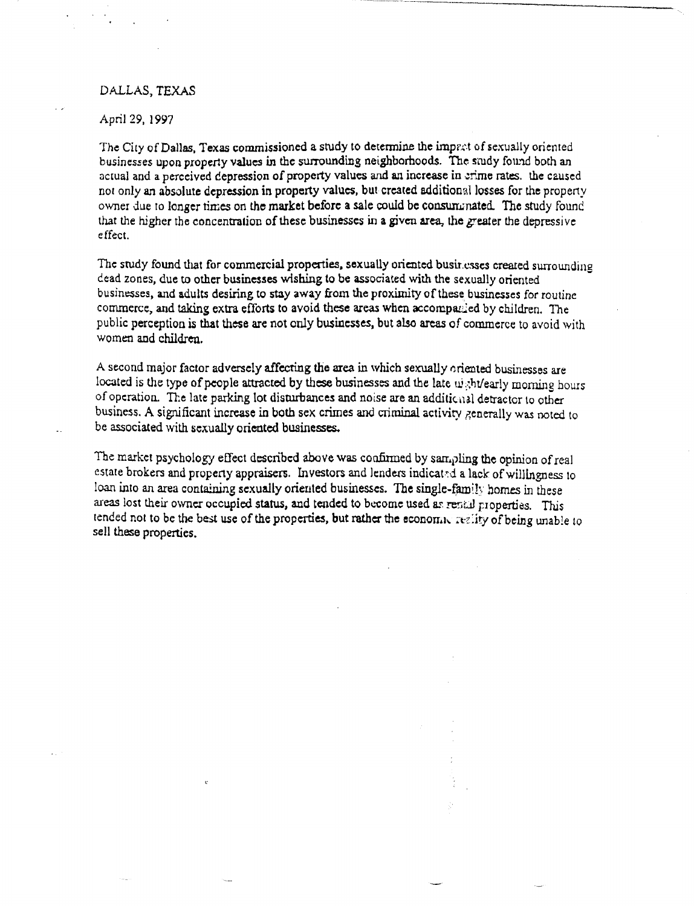# DALLAS, TEXAS

April 29, 1997

The City of Dallas, Texas commissioned a study to determine the imprat of sexually oriented businesses upon property values in the surrounding neighborhoods. The study found both an actual and a perceived depression of property values and an increase in erime rates. the caused not only an absolute depression in property values, but created additional losses for the property owner due to longer times on the market before a sale could be consummated. The study found that the higher the concentration of these businesses in a given area, the *greater* the depressive effect.

The study found that for commercial properties, sexually oriented businesses created surrounding dead zones, due to other businesses wishing to be associated with the sexually oriented businesses, and adults desiring to stay away from the proximity of these businesses for routine commerce, and taking extra efforts to avoid these areas when accompanied by children. The public perception is that these are not only businesses, but also areas of commerce to avoid with women and children.

A second major factor adversely affecting the area in which sexually oriented businesses are located is the type of people attracted by these businesses and the late uight/early morning hours of operation. The late parking lot disturbances and noise are an additional detractor to other business. A significant increase in both sex crimes and criminal activity generally was noted to be associated with sexually oriented businesses.

The market psychology effect described above was confirmed by sampling the opinion of real estate brokers and property appraisers. Investors and lenders indicated a lack of willingness to loan into an area containing sexually oriented businesses. The single-family homes in these areas lost their owner occupied status, and tended to become used as rencal properties. This tended not to be the best use of the properties, but rather the economic reglity of being unable to sell these properties.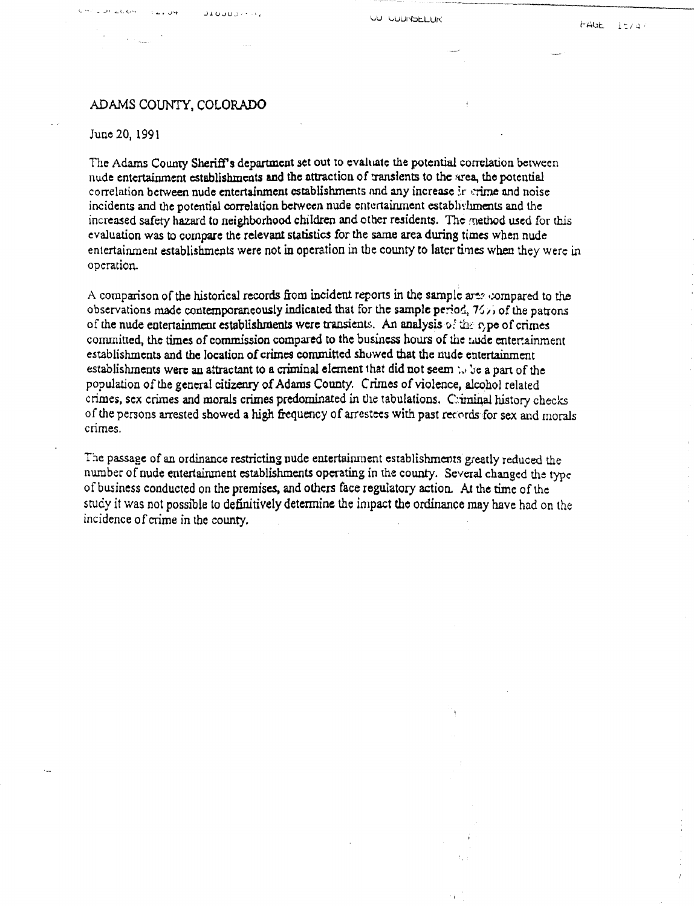# ADAMS COUNTY, COLORADO

ناد خارد قاماتها

### June 20, 1991

The Adams County Sheriff's department set out to evaluate the potential correlation between nude entertainment establishments and the attraction of transients to the area, the potential correlation between nude entertainment establishments and any increase in crime and noise incidents and the potential correlation between nude entertainment establishments and the increased safety hazard to neighborhood children and other residents. The method used for this evaluation was to compare the relevant statistics for the same area during times when nude entertainment establishments were not in operation in the county to later times when they were in operation.

A comparison of the historical records from incident reports in the sample are, compared to the observations made contemporaneously indicated that for the sample period,  $7/$ , of the patrons of the nude entertainment establishments were transients. An analysis **5! the** c,pe of crimes committed, the times of commission compared to the business hours of the **nude** entertainment establishments and the location of crimes committed showed that the nude entertainment establishments were an attractant to a criminal element that did not seem  $\omega$  be a part of the population of the general citizenry of Adams County. Crimes of violence, alcohol related crimes, sex crimes and morals crimes predominated in the tabulations. C:iminal history checks of the persons arrested showed a high frequency of arrestets with past records for sex and morals crimes.

The passage of an ordinance restricting nude entertainment establishments greatly reduced the number of nude entertainment establishments operating in the county. Several changed the type of business conducted on the premises, and others face regulatory action. At the time of the study it was not possible to definitively determine the impact the ordinance may have had on the incidence of crime in the county.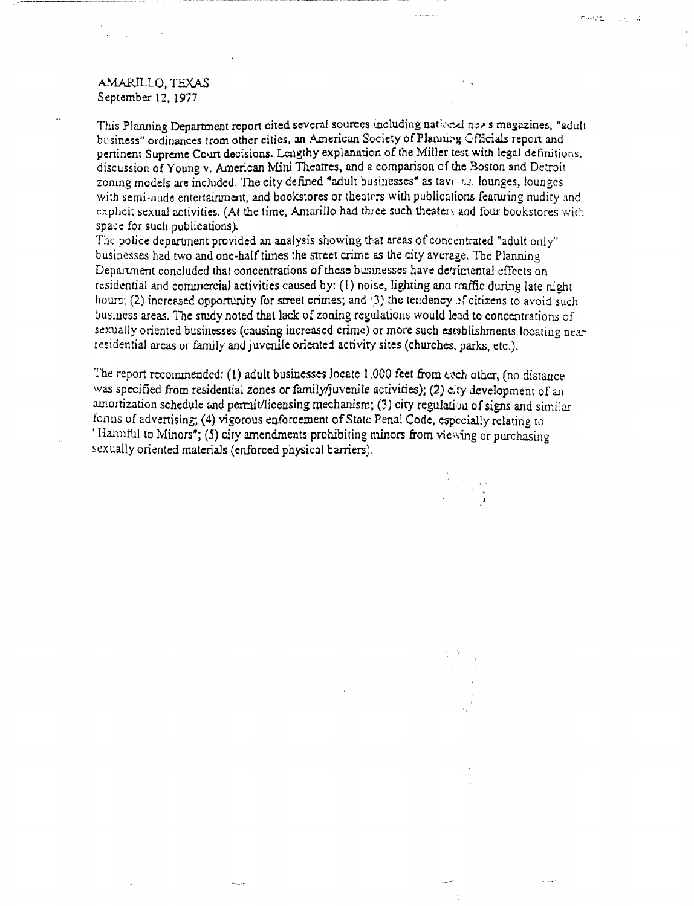# AMARILLO, TEXAS September 12, 1977

This Planning Department report cited several sources including national news magazines, "adult business" ordinances from other cities, an American Society of Planning Cfficials report and pertinent Supreme Court decisions. Lengthy explanation of the Miller teat with legal definitions, discussion of Young v. American Mini Theatres, and a comparison of the Boston and Detroit zoning models are included. The city defined "adult businesses" as tavenes, lounges, lounges with semi-nude entertainment, and bookstores or theaters with publications featuring nudity and explicit sexual activities. (At the time, Amarillo had three such theatery and four bookstores with space for such publications).

n Avati III (1971–19

The police department provided an analysis showing that areas of concentrated "adult only" businesses had two and one-half times the street crime as the city average, The Planning Department concluded that concentrations of these businesses have detrimental effects on residential and commercial activities caused by: (1) noise, lighting and traffic during late night hours; (2) increased opportunity for street crimes; and (3) the tendency of citizens to avoid such business areas. The study noted that lack of zoning regulations would lead to concentrations of sexually oriented businesses (causing increased crime) or more such establishments locating nearresidential areas or family and juvenile oriented activity sites (churches, parks, etc.).

The report recommended: (1) adult businesses locate 1.000 feet from each other, (no distance was specified from residential zones or family/juvenile activities); (2) city development of an amortization schedule and permit/licensing mechanism; (3) city regulation of signs and similar forms of advertising; (4) vigorous eaforcement of State Penal Code, especially relating to "Harmful to Minors"; (5) city amendments prohibiting minors from viewing or purchasing sexually oriented materials (enforced physical barriers).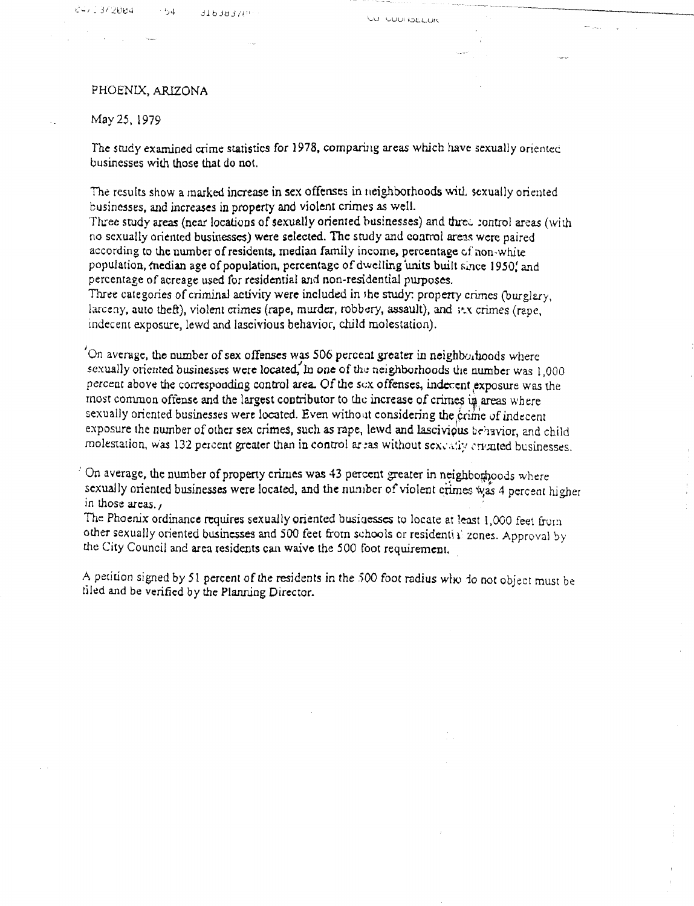4 ر<sup>ىپ</sup>

## May 25, 1979

The study examined crime statistics for 1978, comparing *areas* which have sexually orientec businesses with those that do not.

The results show a marked increase in sex offenses in neighborhoods with sexually oriented businesses, and increases in property and violent crimes as well.

Three study areas (near locations of sexually oriented businesses) and three control areas (with no sexually oriented businesses) were selected. The study and control areas were paired according to the number of residents, median family income, percentage of non-white population, median age of population, percentage of dwelling units built since 1950, and percentage of acreage used for residential and non-residential purposes. Three categories of criminal activity were included in the study: property crimes (burglary,

larceny, auto theft), violent crimes (rape, murder, robbery, assault), and  $\frac{1}{2}$ , crimes (rape, indecent exposure, lewd and lascivious behavior, child molestation).

'On average, the number of sex offenses was 506 percent greater in neighborhoods where sexually oriented businesses were located, In one of the neighborhoods the number was 1,000 percent above the corresponding control area Of the sex offenses, indecent exposure was the most common offense and the largest contributor to the increase of crimes in areas where sexually oriented businesses were located. Even without considering the erime of indecent exposure the number of other sex crimes, such as rape, lewd and lascivious behavior, and child molestation, was 132 percent greater than in control areas without sex. ally eriented businesses.

On average, the number of property crimes was 43 percent greater in neighborhoods where sexually oriented businesses were located, and the number of violent crimes was 4 percent higher in those areas.,

The Phoenix ordinance requires sexually oriented businesses to locate at least 1,000 feet from other sexually oriented businesses and 500 feet from schools or residential zones. Approval by the City Council and area residents can waive the 500 foot requirement.

A petition signed by 51 percent of the residents in the 500 foot radius who lo not object must be tiled and be verified by the Planning Director.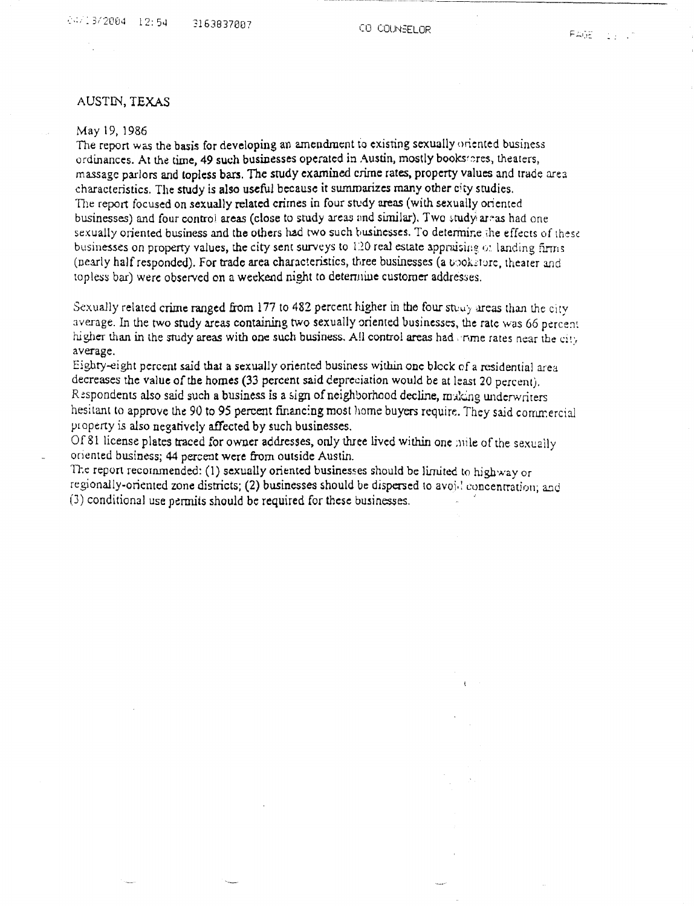# AUSTIN, TEXAS

### May 19, 1986

The report was the basis for developing an amendment to existing sexually oriented business ordinances. At the time, 49 such businesses operated in Austin, mostly bookstores, theaters, massage parlors and topless bars. The study examined crime rates, property values and trade area characteristics. The study is also useful because it summarizes many other city studies. The report focused on sexually related crimes in four study areas (with sexually oriented businesses) and four control areas (close to study areas and similar). Two study areas had one sexually oriented business and the others had two such businesses. To determine the effects of these businesses on property values, the city sent surveys to 120 real estate appraising or landing firms (nearly half responded). For trade area characteristics, three businesses (a uooksture, theater and topless bar) were observed on a weekend night to determine customer addresses.

Sexually related crime ranged from 177 to 482 percent higher in the four study areas than the city. average. In the two study areas containing two sexually oriented businesses, the rate was 66 percent higher than in the study areas with one such business. All control areas had orime rates near the city average.

Eighty-eight percent said that a sexually oriented business within one block of a residential area decreases the value of the homes (33 percent said depreciation would be at least 20 percent). Respondents also said such a business is a sign of neighborhood decline, making underwriters hesitant to approve the 90 to 95 percent financing most home buyers require. They said commercial property is also negatively affected by such businesses.

Of 81 license plates traced for owner addresses, only three lived within one mile of the sexually oriented business; 44 percent were from outside Austin.

The report recommended: (1) sexually oriented businesses should be limited to highway or regionally-oriented zone districts; (2) businesses should be dispersed to avoi.! concentration; and (3) conditional use permits should be required for these businesses.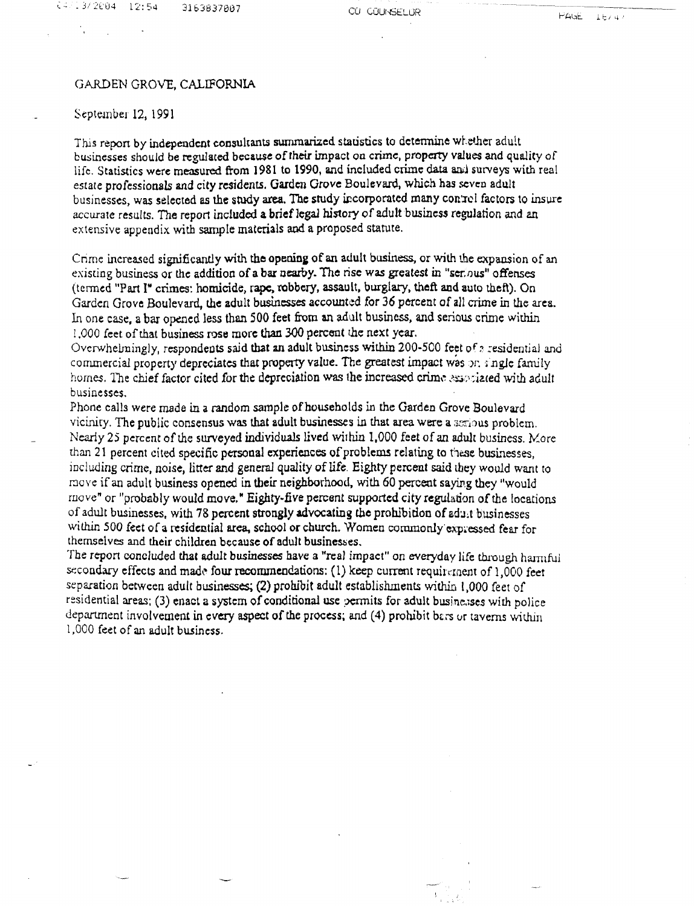#### GARDEN GROVE, CALIFORNIA

## September 12, 1991

This report by independent consultants summarized statistics to determine whether adult businesses should be regulated because of their impact on crime, property values and quality of life. Statistics *were* measured from 1981 to 1990, and included crime data and surveys with real estate professionals and city residents. Garden Grove Boulevard, which has seven adult businesses, was selected as the study area. The study incorporated many control factors to insure accurate results. The report included a brief legal history *of* adult business regulation and an extensive appendix with sample materials and a proposed statute.

Crime increased significantly with the opening of an adult business, or with the expansion of an existing business or the addition of a bar nearby. The *rise was* greatest in "ser nus" offenses (termed "Part I" crimes: homicide, rape, robbery, assault, burglary, theft and auto theft). On Garden Grove Boulevard, the adult businesses accounted for 36 percent of all crime in the area. In one case, a bar opened less than 500 feet from an adult business, and serious crime within 1,000 feet of that business rose more than 300 percent the next year.

Overwhelmingly, respondents said that an adult business within 200-500 feet of a residential and commercial property depreciates that property value. The greatest impact was on single family homes. The chief factor cited for the depreciation was the increased crime associated with adult businesses.

Phone calls were made in a random sample of households in the Garden Grove Boulevard vicinity. The public consensus was that adult businesses in that area were a serious problem. Nearly 25 percent of the surveyed individuals lived within 1,000 feet of an adult business. More than 21 percent cited specific personal experiences of problems relating to these businesses, including crime, noise, litter and general quality of life. Eighty percent said they would want to move if an adult business opened in their neighborhood, with 60 percent saying they "would move" or "probably would move," Eighty-five percent supported city regulation of the locations of adult businesses, with 78 percent strongly advocating the prohibition of adult businesses within 500 feet of a residential area, school or church. Women commonly expressed fear for themselves and their children because of adult businesses.

The report concluded that adult businesses *have* a "real impact" on everyday life through harmful secondary effects and made four recommendations: (1) keep current requirement of 1,000 feet separation between adult businesses; (2) prohibit adult establishments within 1,000 feet of residential areas; (3) enact a system of conditional use permits for adult businesses with police department involvement in every aspect of the process; and (4) prohibit bars or taverns within 1,000 feet of an adult business.